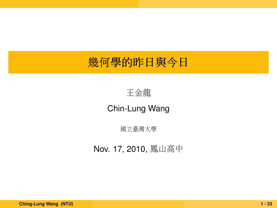# <sup>幾</sup>何學的昨日與今<sup>日</sup>

#### <sup>王</sup>金龍

#### Chin-Lung Wang

<sup>國</sup>立臺灣大<sup>學</sup>

Nov. 17, 2010, 鳳山高中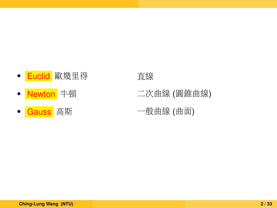- Euclid 歐幾里得 有望
- 
- 

- Newton 牛頓 **2000年 二次曲線 (圓錐曲線)**
- Gauss 高斯 インストリック 一般曲線 (曲面)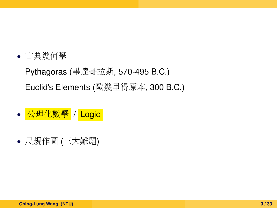- 古典幾何<sup>學</sup> Pythagoras (畢達哥拉斯, 570-495 B.C.) Euclid's Elements (歐幾里得原本, 300 B.C.)
- 公理化數學 / Logic
- <sup>尺</sup>規作<sup>圖</sup> (三大難題)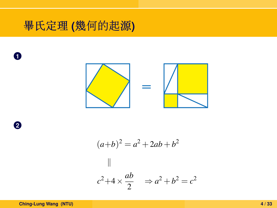# 畢氏定理 **(**幾何的起源**)**



**2**

**1**

$$
(a+b)^2 = a^2 + 2ab + b^2
$$
  
||  

$$
c^2 + 4 \times \frac{ab}{2} \implies a^2 + b^2 = c^2
$$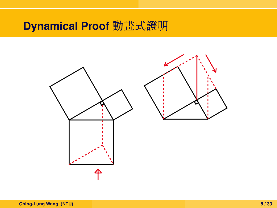# **Dynamical Proof** <sup>動</sup>畫式證<sup>明</sup>

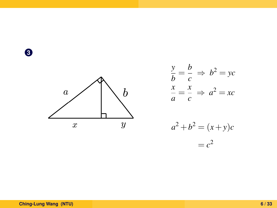**3**



$$
\frac{y}{b} = \frac{b}{c} \implies b^2 = yc
$$

$$
\frac{x}{a} = \frac{x}{c} \implies a^2 = xc
$$

$$
a2 + b2 = (x + y)c
$$

$$
= c2
$$

#### **Ching-Lung Wang (NTU) 6 / 33**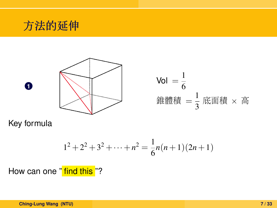



Key formula

$$
1^2 + 2^2 + 3^2 + \dots + n^2 = \frac{1}{6}n(n+1)(2n+1)
$$

How can one " find this "?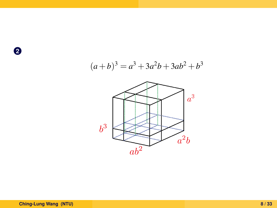**2**



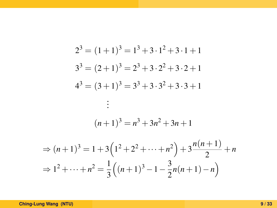$$
2^{3} = (1+1)^{3} = 1^{3} + 3 \cdot 1^{2} + 3 \cdot 1 + 1
$$
  
\n
$$
3^{3} = (2+1)^{3} = 2^{3} + 3 \cdot 2^{2} + 3 \cdot 2 + 1
$$
  
\n
$$
4^{3} = (3+1)^{3} = 3^{3} + 3 \cdot 3^{2} + 3 \cdot 3 + 1
$$
  
\n
$$
\vdots
$$
  
\n
$$
(n+1)^{3} = n^{3} + 3n^{2} + 3n + 1
$$
  
\n
$$
\Rightarrow (n+1)^{3} = 1 + 3(1^{2} + 2^{2} + \dots + n^{2}) + 3 \frac{n(n+1)}{2} + n
$$
  
\n
$$
\Rightarrow 1^{2} + \dots + n^{2} = \frac{1}{3}((n+1)^{3} - 1 - \frac{3}{2}n(n+1) - n)
$$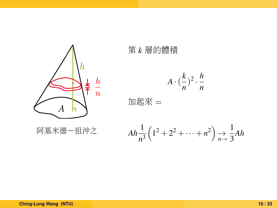

<sup>第</sup> *<sup>k</sup>* <sup>層</sup>的體<sup>積</sup>

 $A \cdot (\frac{k}{\cdot})$  $\frac{k}{n}$ <sup>2</sup> ·  $\frac{h}{n}$ *n*

<sup>加</sup>起來 <sup>=</sup>

 $Ah\frac{1}{n^3}$  $\left(1^2+2^2+\cdots+n^2\right) \underset{n\rightarrow 3}{\rightarrow} \frac{1}{3}$  $\frac{1}{3}Ah$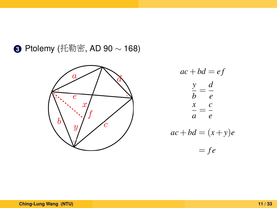**<sup>3</sup>** Ptolemy (托勒密, AD 90 <sup>∼</sup> 168)



$$
ac + bd = ef
$$
  

$$
\frac{y}{b} = \frac{d}{e}
$$
  

$$
\frac{x}{a} = \frac{c}{e}
$$
  

$$
ac + bd = (x + y)e
$$
  

$$
= fe
$$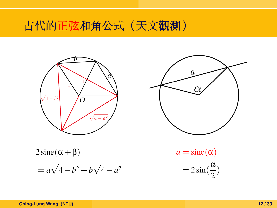古代的正弦和角公式(天文觀測)





 $\frac{a}{2}$ 

 $2 \text{sine}(\alpha + \beta)$  $= a\sqrt{4-b^2} + b\sqrt{4-a^2}$  $a = \text{sine}(\alpha)$  $= 2 \sin(\frac{\alpha}{2})$ 

**Ching-Lung Wang (NTU) 12 / 33**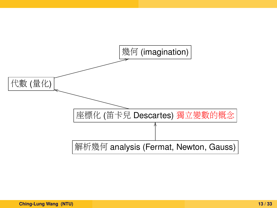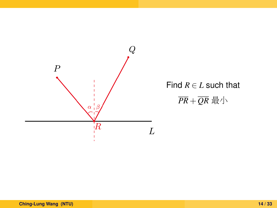

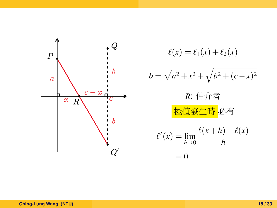

`(*x*) = `1(*x*) +`2(*x*) *b* = p *a* <sup>2</sup> +*x* <sup>2</sup> + q *b* <sup>2</sup> + (*c*−*x*) 2 *<sup>R</sup>*: 仲介者 <sup>極</sup>值發生<sup>時</sup> 必有 ` 0 (*x*) = lim *h*→0 `(*x*+*h*)−`(*x*) *h* = 0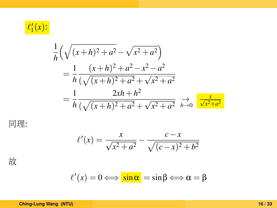

$$
\frac{1}{h} \left( \sqrt{(x+h)^2 + a^2} - \sqrt{x^2 + a^2} \right)
$$
\n
$$
= \frac{1}{h} \frac{(x+h)^2 + a^2 - x^2 - a^2}{(\sqrt{(x+h)^2 + a^2} + \sqrt{x^2 + a^2})}
$$
\n
$$
= \frac{1}{h} \frac{2xh + h^2}{(\sqrt{(x+h)^2 + a^2} + \sqrt{x^2 + a^2})} \xrightarrow{h \to 0} \frac{x}{\sqrt{x^2 + a^2}}
$$

<sup>同</sup>理:

$$
\ell'(x) = \frac{x}{\sqrt{x^2 + a^2}} - \frac{c - x}{\sqrt{(c - x)^2 + b^2}}
$$

故

$$
\ell'(x) = 0 \Longleftrightarrow \boxed{\sin \alpha} = \sin \beta \Longleftrightarrow \alpha = \beta
$$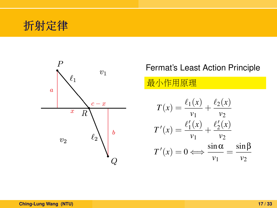



#### Fermat's Least Action Principle

#### 最小作用原理

$$
T(x) = \frac{\ell_1(x)}{v_1} + \frac{\ell_2(x)}{v_2}
$$

$$
T'(x) = \frac{\ell'_1(x)}{v_1} + \frac{\ell'_2(x)}{v_2}
$$

$$
T'(x) = 0 \Longleftrightarrow \frac{\sin \alpha}{v_1} = \frac{\sin \beta}{v_2}
$$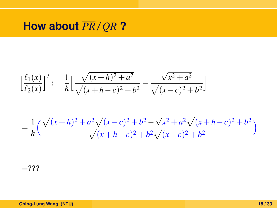# **How about** *PR*/*QR* **?**

$$
\left[\frac{\ell_1(x)}{\ell_2(x)}\right]': \frac{1}{h}\left[\frac{\sqrt{(x+h)^2+a^2}}{\sqrt{(x+h-c)^2+b^2}}-\frac{\sqrt{x^2+a^2}}{\sqrt{(x-c)^2+b^2}}\right]
$$

$$
=\frac{1}{h}\left(\frac{\sqrt{(x+h)^2+a^2}\sqrt{(x-c)^2+b^2}-\sqrt{x^2+a^2}\sqrt{(x+h-c)^2+b^2}}{\sqrt{(x+h-c)^2+b^2}\sqrt{(x-c)^2+b^2}}\right)
$$

 $=$ ???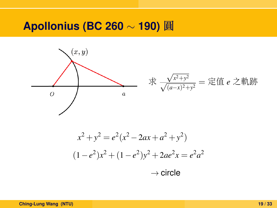#### **Apollonius (BC 260** ∼ **190)** 圓

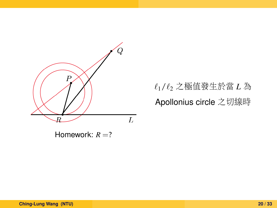

Homework:  $R = ?$ 

 $\ell_1/\ell_2$  之極值發生於當 *L* 為 Apollonius circle 之切線時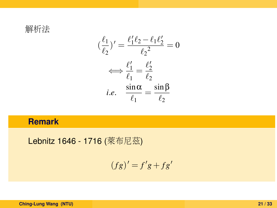解析<sup>法</sup>

$$
(\frac{\ell_1}{\ell_2})' = \frac{\ell'_1 \ell_2 - \ell_1 \ell'_2}{\ell_2^2} = 0
$$

$$
\iff \frac{\ell'_1}{\ell_1} = \frac{\ell'_2}{\ell_2}
$$

$$
i.e. \quad \frac{\sin \alpha}{\ell_1} = \frac{\sin \beta}{\ell_2}
$$

#### **Remark**

Lebnitz 1646 - 1716 (萊布尼茲)

$$
(fg)' = f'g + fg'
$$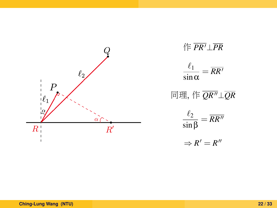



$$
\frac{\ell_1}{\sin\alpha}=\overline{\text{RR}'}
$$

<sup>同</sup>理, 作 *QR*00⊥*QR*

$$
\frac{\ell_2}{\sin \beta} = \overline{RR''}
$$

$$
\Rightarrow R'=R''
$$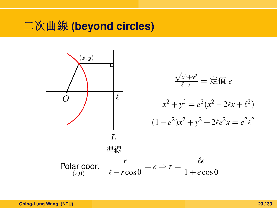# <sup>二</sup>次曲<sup>線</sup> **(beyond circles)**

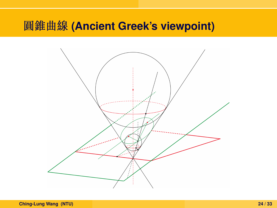## <sup>圓</sup>錐曲<sup>線</sup> **(Ancient Greek's viewpoint)**

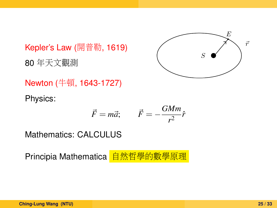Kepler's Law (開普勒, 1619) <sup>80</sup> <sup>年</sup>天文觀<sup>測</sup>



Newton (牛頓, 1643-1727)

Physics:

$$
\vec{F} = m\vec{a}; \qquad \vec{F} = -\frac{GMm}{r^2}\hat{r}
$$

Mathematics: CALCULUS

Principia Mathematica 自然哲學的數學原理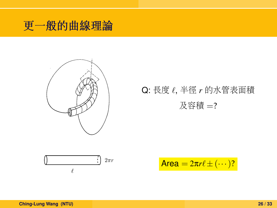



# Q: 長度  $\ell$ , 半徑 *r* 的水管表面積  $\mathcal{R}\boxtimes \mathcal{R}$ 着 $=$ ?



$$
\text{Area} = 2\pi r \ell \pm (\cdots)?
$$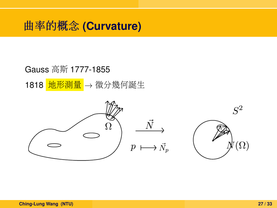# <sup>曲</sup>率的概念 **(Curvature)**

#### Gauss 高斯 1777-1855

1818 地形測量 → 微分幾何誕生

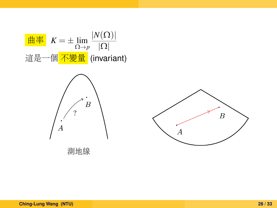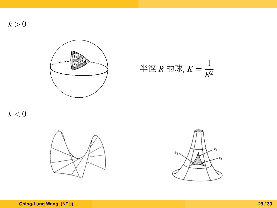$k > 0$ 



半徑  $R$  的球,  $K = \frac{1}{R^2}$ *R*2

 $k < 0$ 



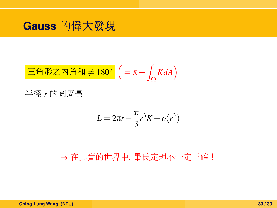### **Gauss** 的偉大發<sup>現</sup>

$$
\boxed{\text{E} \text{#E} \text{#A} \text{#A} \text{# } 180^\circ} \left( = \pi + \int_{\Omega} K dA \right)
$$

半徑 *<sup>r</sup>* 的圓周<sup>長</sup>

$$
L = 2\pi r - \frac{\pi}{3}r^3K + o(r^3)
$$

⇒ 在真實的世界中, 畢氏定理不一定正確!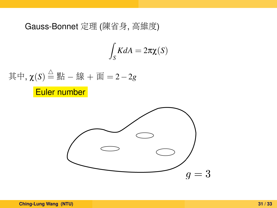#### Gauss-Bonnet <sup>定</sup>理 (陳省身, <sup>高</sup>維度)

$$
\int_{S} K dA = 2\pi \chi(S)
$$



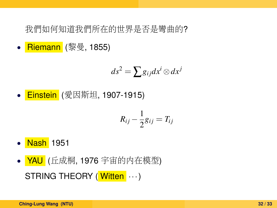我們如何知道我們所在的世界是否是彎曲的?

• Riemann (黎曼, 1855)

$$
ds^2 = \sum g_{ij} dx^i \otimes dx^j
$$

• Einstein (愛因斯坦, 1907-1915)

$$
R_{ij} - \frac{1}{2}g_{ij} = T_{ij}
$$

- Nash 1951
- YAU (丘成桐, 1976 宇宙的内在模型) STRING THEORY (Witten  $\cdots$ )